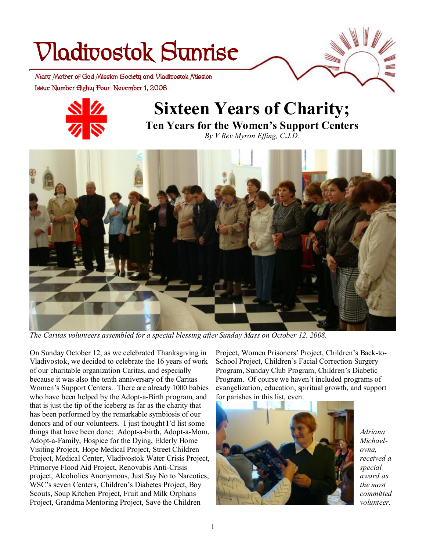# **Vladivostok Sunrise**

 **Issue Number Eighty Four November 1, 2008 Mary Mother of God Mission Society and Vladivostok Mission** 



## **Sixteen Years of Charity;**

**Ten Years for the Women's Support Centers**  *By V Rev Myron Effing, C.J.D.* 



*The Caritas volunteers assembled for a special blessing after Sunday Mass on October 12, 2008.* 

On Sunday October 12, as we celebrated Thanksgiving in Vladivostok, we decided to celebrate the 16 years of work of our charitable organization Caritas, and especially because it was also the tenth anniversary of the Caritas Women's Support Centers. There are already 1000 babies who have been helped by the Adopt-a-Birth program, and that is just the tip of the iceberg as far as the charity that has been performed by the remarkable symbiosis of our donors and of our volunteers. I just thought I'd list some things that have been done: Adopt-a-birth, Adopt-a-Mom, Adopt-a-Family, Hospice for the Dying, Elderly Home Visiting Project, Hope Medical Project, Street Children Project, Medical Center, Vladivostok Water Crisis Project, Primorye Flood Aid Project, Renovabis Anti-Crisis project, Alcoholics Anonymous, Just Say No to Narcotics, WSC's seven Centers, Children's Diabetes Project, Boy Scouts, Soup Kitchen Project, Fruit and Milk Orphans Project, Grandma Mentoring Project, Save the Children

Project, Women Prisoners' Project, Children's Back-to-School Project, Children's Facial Correction Surgery Program, Sunday Club Program, Children's Diabetic Program. Of course we haven't included programs of evangelization, education, spiritual growth, and support for parishes in this list, even.



*Adriana Michaelovna, received a special award as the most committed volunteer.*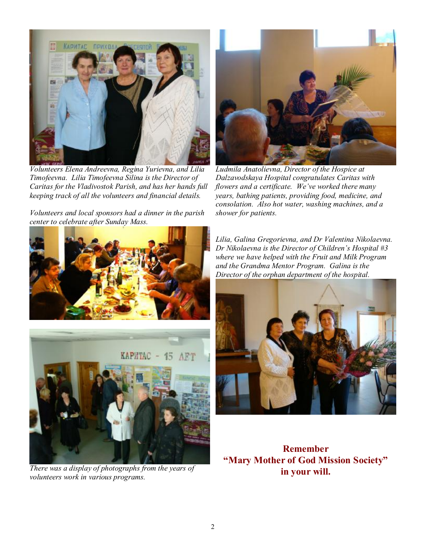

*Volunteers Elena Andreevna, Regina Yurievna, and Lilia Timofeevna. Lilia Timofeevna Silina is the Director of Caritas for the Vladivostok Parish, and has her hands full keeping track of all the volunteers and financial details.* 

*Volunteers and local sponsors had a dinner in the parish center to celebrate after Sunday Mass.* 





*There was a display of photographs from the years of volunteers work in various programs.* 



*Ludmila Anatolievna, Director of the Hospice at Dalzavodskaya Hospital congratulates Caritas with flowers and a certificate. We've worked there many years, bathing patients, providing food, medicine, and consolation. Also hot water, washing machines, and a shower for patients.* 

*Lilia, Galina Gregorievna, and Dr Valentina Nikolaevna. Dr Nikolaevna is the Director of Children's Hospital #3 where we have helped with the Fruit and Milk Program and the Grandma Mentor Program. Galina is the Director of the orphan department of the hospital.* 



**Remember "Mary Mother of God Mission Society" in your will.**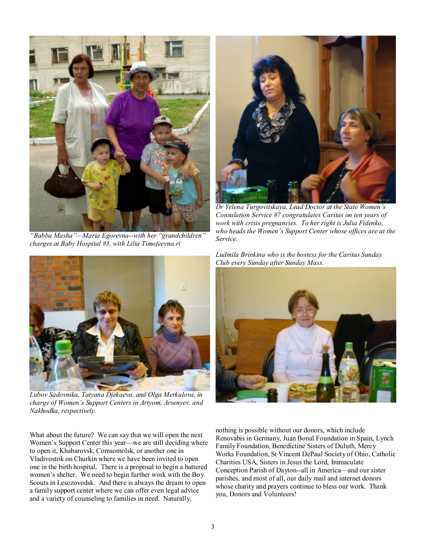

*"Babba Masha"—Maria Egorevna--with her "grandchildren" charges at Baby Hospital #3, with Lilia Timofeevna.ri* 



*Dr Yelena Turgovitskaya, Lead Doctor at the State Women's Consulation Service #7 congratulates Caritas on ten years of work with crisis pregnancies. To her right is Julia Fidenko, who heads the Women's Support Center whose offices are at the Service.* 





*Lubov Sadovnika, Tatyana Djekaeva, and Olga Merkulova, in charge of Women's Support Centers in Artyom, Arsenyev, and Nakhodka, respectively.* 

What about the future? We can say that we will open the next Women's Support Center this year—we are still deciding where to open it, Khabarovsk, Comsomolsk, or another one in Vladivostok on Churkin where we have been invited to open one in the birth hospital. There is a proposal to begin a battered women's shelter. We need to begin further work with the Boy Scouts in Lesozovodsk. And there is always the dream to open a family support center where we can offer even legal advice and a variety of counseling to families in need. Naturally,



nothing is possible without our donors, which include Renovabis in Germany, Juan Bonal Foundation in Spain, Lynch Family Foundation, Benedictine Sisters of Duluth, Mercy Works Foundation, St Vincent DePaul Society of Ohio, Catholic Charities USA, Sisters in Jesus the Lord, Immaculate Conception Parish of Dayton--all in America—and our sister parishes, and most of all, our daily mail and internet donors whose charity and prayers continue to bless our work. Thank you, Donors and Volunteers!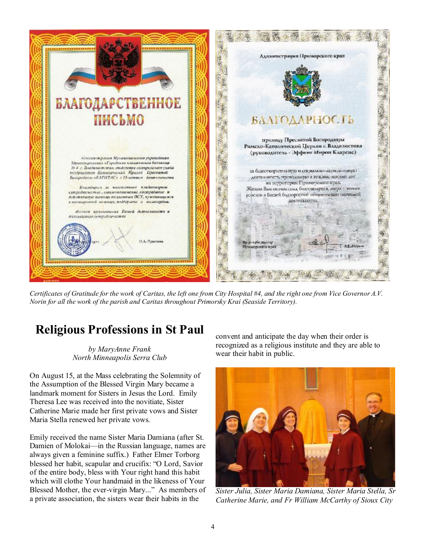

Certificates of Gratitude for the work of Caritas, the left one from City Hospital #4, and the right one from Vice Governor A.V. *Norin for all the work of the parish and Caritas throughout Primorsky Krai (Seaside Territory).* 

## **Religious Professions in St Paul**

*by MaryAnne Frank North Minneapolis Serra Club* 

On August 15, at the Mass celebrating the Solemnity of the Assumption of the Blessed Virgin Mary became a landmark moment for Sisters in Jesus the Lord. Emily Theresa Lee was received into the novitiate, Sister Catherine Marie made her first private vows and Sister Maria Stella renewed her private vows.

Emily received the name Sister Maria Damiana (after St. Damien of Molokai—in the Russian language, names are always given a feminine suffix.) Father Elmer Torborg blessed her habit, scapular and crucifix: "O Lord, Savior of the entire body, bless with Your right hand this habit which will clothe Your handmaid in the likeness of Your Blessed Mother, the ever-virgin Mary..." As members of a private association, the sisters wear their habits in the

convent and anticipate the day when their order is recognized as a religious institute and they are able to wear their habit in public.



*Sister Julia, Sister Maria Damiana, Sister Maria Stella, Sr Catherine Marie, and Fr William McCarthy of Sioux City*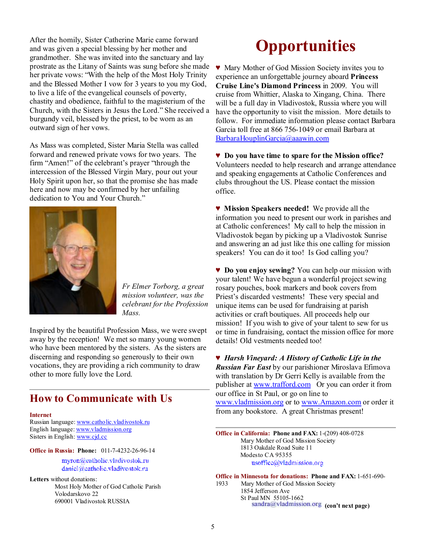After the homily, Sister Catherine Marie came forward and was given a special blessing by her mother and grandmother. She was invited into the sanctuary and lay prostrate as the Litany of Saints was sung before she made her private vows: "With the help of the Most Holy Trinity and the Blessed Mother I vow for 3 years to you my God, to live a life of the evangelical counsels of poverty, chastity and obedience, faithful to the magisterium of the Church, with the Sisters in Jesus the Lord." She received a burgundy veil, blessed by the priest, to be worn as an outward sign of her vows.

As Mass was completed, Sister Maria Stella was called forward and renewed private vows for two years. The firm "Amen!" of the celebrant's prayer "through the intercession of the Blessed Virgin Mary, pour out your Holy Spirit upon her, so that the promise she has made here and now may be confirmed by her unfailing dedication to You and Your Church."



*Fr Elmer Torborg, a great mission volunteer, was the celebrant for the Profession Mass.* 

Inspired by the beautiful Profession Mass, we were swept away by the reception! We met so many young women who have been mentored by the sisters. As the sisters are discerning and responding so generously to their own vocations, they are providing a rich community to draw other to more fully love the Lord.

### **How to Communicate with Us**

#### **Internet**

Russian language: [www.catholic.vladivostok.ru](http://www.catholic.vladivostok.ru) English language: [www.vladmission.org](http://www.vladmission.org) Sisters in English: [www.cjd.cc](http://www.cjd.cc)

**Office in Russia: Phone:** 011-7-4232-26-96-14

myron@catholic.vladivostok.ru daniel/iileatholie.vladivostok.ru

**Letters** without donations: Most Holy Mother of God Catholic Parish Volodarskovo 22 690001 Vladivostok RUSSIA

## **Opportunities**

♥ Mary Mother of God Mission Society invites you to experience an unforgettable journey aboard **Princess Cruise Line's Diamond Princess** in 2009. You will cruise from Whittier, Alaska to Xingang, China. There will be a full day in Vladivostok, Russia where you will have the opportunity to visit the mission. More details to follow. For immediate information please contact Barbara Garcia toll free at 866 756-1049 or email Barbara at [BarbaraHouplinGarcia@aaawin.com](mailto:BarbaraHouplinGarcia@aaawin.com)

♥ **Do you have time to spare for the Mission office?** Volunteers needed to help research and arrange attendance and speaking engagements at Catholic Conferences and clubs throughout the US. Please contact the mission office.

♥ **Mission Speakers needed!** We provide all the information you need to present our work in parishes and at Catholic conferences! My call to help the mission in Vladivostok began by picking up a Vladivostok Sunrise and answering an ad just like this one calling for mission speakers! You can do it too! Is God calling you?

♥ **Do you enjoy sewing?** You can help our mission with your talent! We have begun a wonderful project sewing rosary pouches, book markers and book covers from Priest's discarded vestments! These very special and unique items can be used for fundraising at parish activities or craft boutiques. All proceeds help our mission! If you wish to give of your talent to sew for us or time in fundraising, contact the mission office for more details! Old vestments needed too!

♥ *Harsh Vineyard: A History of Catholic Life in the Russian Far East* by our parishioner Miroslava Efimova with translation by Dr Gerri Kelly is available from the publisher at [www.trafford.com](http://www.trafford.com) Or you can order it from our office in St Paul, or go on line to [www.vladmission.org](http://www.vladmission.org) or to [www.Amazon.com](http://www.Amazon.com) or order it from any bookstore. A great Christmas present!

**Office in California: Phone and FAX:** 1-(209) 408-0728 Mary Mother of God Mission Society 1813 Oakdale Road Suite 11 Modesto CA 95355 usoffice@vladmission.org

**Office in Minnesota for donations: Phone and FAX:** 1-651-690- 1933 Mary Mother of God Mission Society 1854 Jefferson Ave St Paul MN 55105-1662  $\frac{\text{standard}}{\text{width}}$  (con't next page)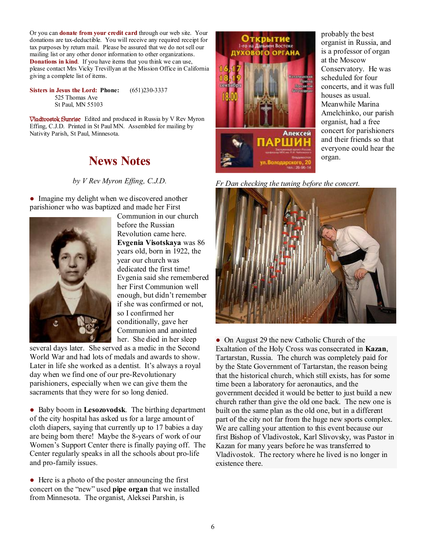Or you can **donate from your credit card** through our web site. Your donations are tax-deductible. You will receive any required receipt for tax purposes by return mail. Please be assured that we do not sell our mailing list or any other donor information to other organizations. **Donations in kind**. If you have items that you think we can use, please contact Mrs Vicky Trevillyan at the Mission Office in California giving a complete list of items.

**Sisters in Jesus the Lord: Phone:** (651)230-3337 525 Thomas Ave St Paul, MN 55103

**Vladivostok Sunrise** Edited and produced in Russia by V Rev Myron Effing, C.J.D. Printed in St Paul MN. Assembled for mailing by Nativity Parish, St Paul, Minnesota.

### **News Notes**

*by V Rev Myron Effing, C.J.D.*

• Imagine my delight when we discovered another parishioner who was baptized and made her First



Communion in our church before the Russian Revolution came here. **Evgenia Visotskaya** was 86 years old, born in 1922, the year our church was dedicated the first time! Evgenia said she remembered her First Communion well enough, but didn't remember if she was confirmed or not, so I confirmed her conditionally, gave her Communion and anointed her. She died in her sleep

several days later. She served as a medic in the Second World War and had lots of medals and awards to show. Later in life she worked as a dentist. It's always a royal day when we find one of our pre-Revolutionary parishioners, especially when we can give them the sacraments that they were for so long denied.

● Baby boom in **Lesozovodsk**. The birthing department of the city hospital has asked us for a large amount of cloth diapers, saying that currently up to 17 babies a day are being born there! Maybe the 8-years of work of our Women's Support Center there is finally paying off. The Center regularly speaks in all the schools about pro-life and pro-family issues.

• Here is a photo of the poster announcing the first concert on the "new" used **pipe organ** that we installed from Minnesota. The organist, Aleksei Parshin, is



*Fr Dan checking the tuning before the concert.* 



• On August 29 the new Catholic Church of the Exaltation of the Holy Cross was consecrated in **Kazan**, Tartarstan, Russia. The church was completely paid for by the State Government of Tartarstan, the reason being that the historical church, which still exists, has for some time been a laboratory for aeronautics, and the government decided it would be better to just build a new church rather than give the old one back. The new one is built on the same plan as the old one, but in a different part of the city not far from the huge new sports complex. We are calling your attention to this event because our first Bishop of Vladivostok, Karl Slivovsky, was Pastor in Kazan for many years before he was transferred to Vladivostok. The rectory where he lived is no longer in existence there.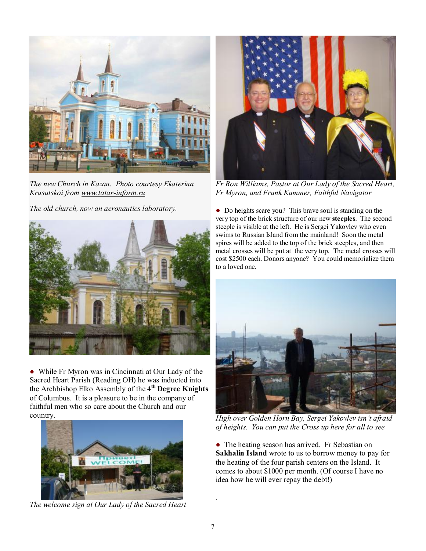

*The new Church in Kazan. Photo courtesy Ekaterina Krasutskoi from [www.tatar-inform.ru](http://www.tatar-inform.ru)*

*The old church, now an aeronautics laboratory.*



● While Fr Myron was in Cincinnati at Our Lady of the Sacred Heart Parish (Reading OH) he was inducted into the Archbishop Elko Assembly of the **4 th Degree Knights** of Columbus. It is a pleasure to be in the company of faithful men who so care about the Church and our country.



*The welcome sign at Our Lady of the Sacred Heart* 



*Fr Ron Williams, Pastor at Our Lady of the Sacred Heart, Fr Myron, and Frank Kammer, Faithful Navigator* 

● Do heights scare you? This brave soul is standing on the very top of the brick structure of our new **steeples**. The second steeple is visible at the left. He is Sergei Yakovlev who even swims to Russian Island from the mainland! Soon the metal spires will be added to the top of the brick steeples, and then metal crosses will be put at the very top. The metal crosses will cost \$2500 each. Donors anyone? You could memorialize them to a loved one.



*High over Golden Horn Bay, Sergei Yakovlev isn't afraid of heights. You can put the Cross up here for all to see* 

• The heating season has arrived. Fr Sebastian on **Sakhalin Island** wrote to us to borrow money to pay for the heating of the four parish centers on the Island. It comes to about \$1000 per month. (Of course I have no idea how he will ever repay the debt!)

*.*